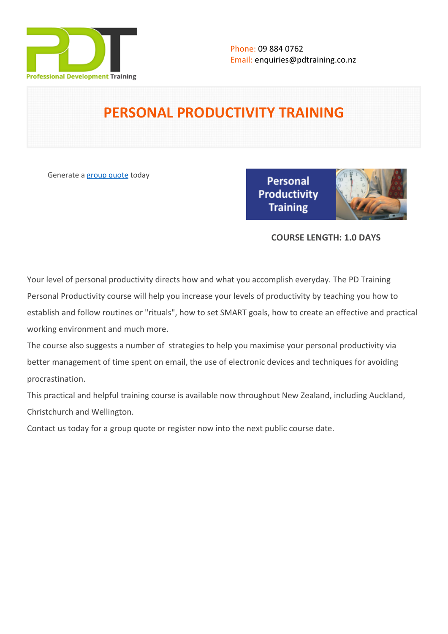

# **PERSONAL PRODUCTIVITY TRAINING**

Generate a [group quote](https://pdtraining.co.nz/inhouse-training-quote?cse=PDT0018) today

**Personal** Productivity **Training** 



# **COURSE LENGTH: 1.0 DAYS**

Your level of personal productivity directs how and what you accomplish everyday. The PD Training Personal Productivity course will help you increase your levels of productivity by teaching you how to establish and follow routines or "rituals", how to set SMART goals, how to create an effective and practical working environment and much more.

The course also suggests a number of strategies to help you maximise your personal productivity via better management of time spent on email, the use of electronic devices and techniques for avoiding procrastination.

This practical and helpful training course is available now throughout New Zealand, including Auckland, Christchurch and Wellington.

Contact us today for a [group quote](https://pdtraining.co.nz/bookings/inhouseex1/quoterequestex1a.aspx) or register now into the next public course date.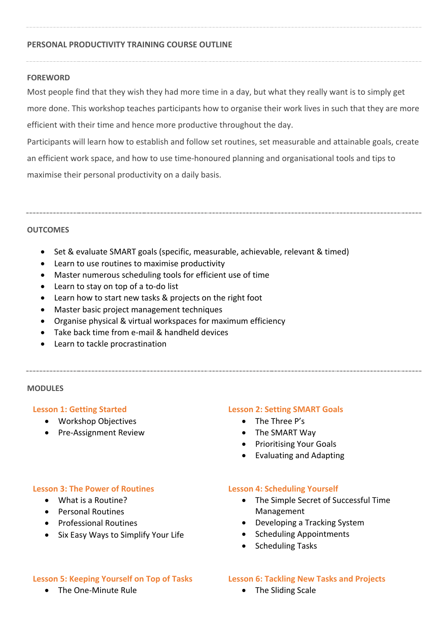# **PERSONAL PRODUCTIVITY TRAINING COURSE OUTLINE**

## **FOREWORD**

Most people find that they wish they had more time in a day, but what they really want is to simply get more done. This workshop teaches participants how to organise their work lives in such that they are more efficient with their time and hence more productive throughout the day.

Participants will learn how to establish and follow set routines, set measurable and attainable goals, create an efficient work space, and how to use time-honoured planning and organisational tools and tips to maximise their personal productivity on a daily basis.

## **OUTCOMES**

- Set & evaluate SMART goals (specific, measurable, achievable, relevant & timed)
- Learn to use routines to maximise productivity
- Master numerous scheduling tools for efficient use of time
- Learn to stay on top of a to-do list
- Learn how to start new tasks & projects on the right foot
- Master basic project management techniques
- Organise physical & virtual workspaces for maximum efficiency
- Take back time from e-mail & handheld devices
- Learn to tackle procrastination

#### **MODULES**

## **Lesson 1: Getting Started**

- Workshop Objectives
- Pre-Assignment Review

#### **Lesson 2: Setting SMART Goals**

- The Three P's
- The SMART Way
- **•** Prioritising Your Goals
- Evaluating and Adapting

## **Lesson 3: The Power of Routines**

- What is a Routine?
- Personal Routines
- **•** Professional Routines
- Six Easy Ways to Simplify Your Life

#### **Lesson 5: Keeping Yourself on Top of Tasks**

• The One-Minute Rule

#### **Lesson 4: Scheduling Yourself**

- The Simple Secret of Successful Time Management
- Developing a Tracking System
- Scheduling Appointments
- Scheduling Tasks

#### **Lesson 6: Tackling New Tasks and Projects**

• The Sliding Scale